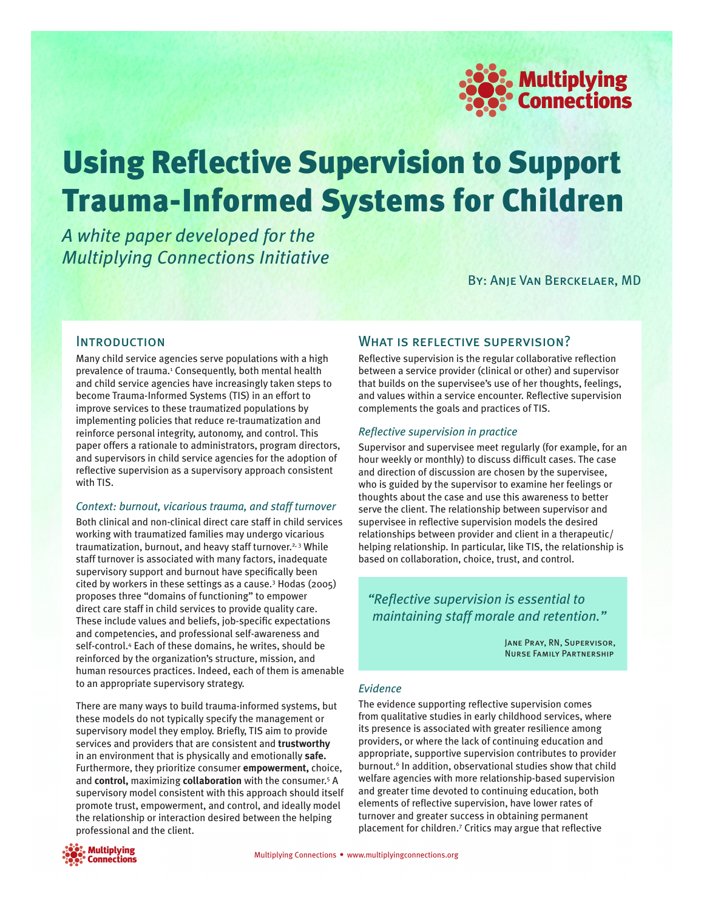

# Using Reflective Supervision to Support Trauma-Informed Systems for Children

*A white paper developed for the Multiplying Connections Initiative*

By: Anje Van Berckelaer, MD

## **INTRODUCTION**

Many child service agencies serve populations with a high prevalence of trauma.<sup>1</sup> Consequently, both mental health and child service agencies have increasingly taken steps to become Trauma-Informed Systems (TIS) in an effort to improve services to these traumatized populations by implementing policies that reduce re-traumatization and reinforce personal integrity, autonomy, and control. This paper offers a rationale to administrators, program directors, and supervisors in child service agencies for the adoption of reflective supervision as a supervisory approach consistent with TIS.

## *Context: burnout, vicarious trauma, and staff turnover*

Both clinical and non-clinical direct care staff in child services working with traumatized families may undergo vicarious traumatization, burnout, and heavy staff turnover.<sup>2, 3</sup> While staff turnover is associated with many factors, inadequate supervisory support and burnout have specifically been cited by workers in these settings as a cause.3 Hodas (2005) proposes three "domains of functioning" to empower direct care staff in child services to provide quality care. These include values and beliefs, job-specific expectations and competencies, and professional self-awareness and self-control.4 Each of these domains, he writes, should be reinforced by the organization's structure, mission, and human resources practices. Indeed, each of them is amenable to an appropriate supervisory strategy.

There are many ways to build trauma-informed systems, but these models do not typically specify the management or supervisory model they employ. Briefly, TIS aim to provide services and providers that are consistent and **trustworthy** in an environment that is physically and emotionally **safe.** Furthermore, they prioritize consumer **empowerment,** choice, and **control,** maximizing **collaboration** with the consumer.5 A supervisory model consistent with this approach should itself promote trust, empowerment, and control, and ideally model the relationship or interaction desired between the helping professional and the client.



# What is reflective supervision?

Reflective supervision is the regular collaborative reflection between a service provider (clinical or other) and supervisor that builds on the supervisee's use of her thoughts, feelings, and values within a service encounter. Reflective supervision complements the goals and practices of TIS.

## *Reflective supervision in practice*

Supervisor and supervisee meet regularly (for example, for an hour weekly or monthly) to discuss difficult cases. The case and direction of discussion are chosen by the supervisee, who is guided by the supervisor to examine her feelings or thoughts about the case and use this awareness to better serve the client. The relationship between supervisor and supervisee in reflective supervision models the desired relationships between provider and client in a therapeutic/ helping relationship. In particular, like TIS, the relationship is based on collaboration, choice, trust, and control.

# *"Reflective supervision is essential to maintaining staff morale and retention."*

Jane Pray, RN, Supervisor, Nurse Family Partnership

#### *Evidence*

The evidence supporting reflective supervision comes from qualitative studies in early childhood services, where its presence is associated with greater resilience among providers, or where the lack of continuing education and appropriate, supportive supervision contributes to provider burnout.<sup>6</sup> In addition, observational studies show that child welfare agencies with more relationship-based supervision and greater time devoted to continuing education, both elements of reflective supervision, have lower rates of turnover and greater success in obtaining permanent placement for children.7 Critics may argue that reflective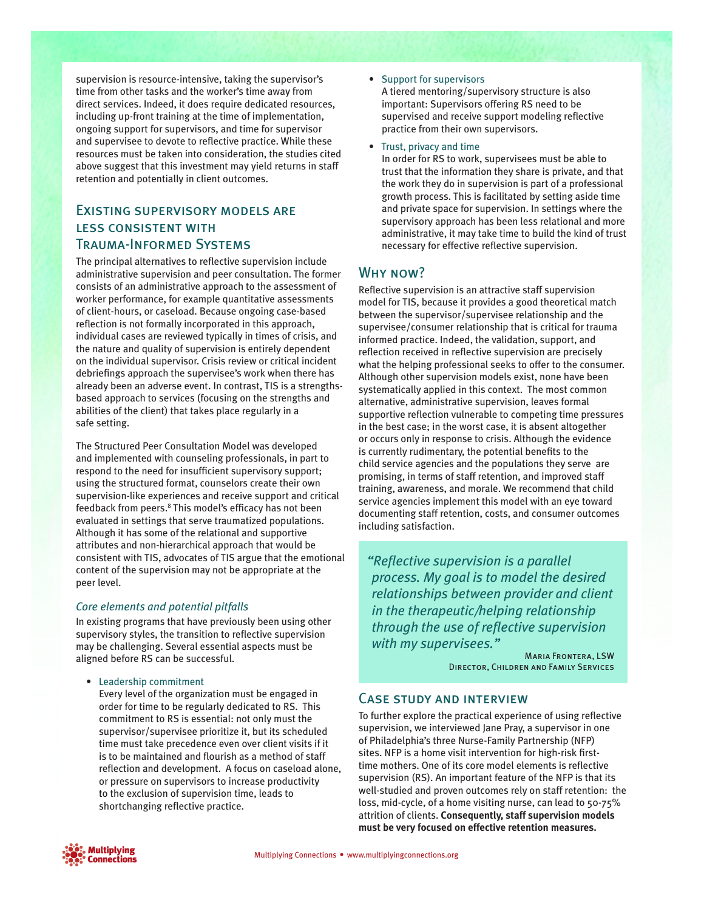supervision is resource-intensive, taking the supervisor's time from other tasks and the worker's time away from direct services. Indeed, it does require dedicated resources, including up-front training at the time of implementation, ongoing support for supervisors, and time for supervisor and supervisee to devote to reflective practice. While these resources must be taken into consideration, the studies cited above suggest that this investment may yield returns in staff retention and potentially in client outcomes.

# Existing supervisory models are less consistent with Trauma-Informed Systems

The principal alternatives to reflective supervision include administrative supervision and peer consultation. The former consists of an administrative approach to the assessment of worker performance, for example quantitative assessments of client-hours, or caseload. Because ongoing case-based reflection is not formally incorporated in this approach, individual cases are reviewed typically in times of crisis, and the nature and quality of supervision is entirely dependent on the individual supervisor. Crisis review or critical incident debriefings approach the supervisee's work when there has already been an adverse event. In contrast, TIS is a strengthsbased approach to services (focusing on the strengths and abilities of the client) that takes place regularly in a safe setting.

The Structured Peer Consultation Model was developed and implemented with counseling professionals, in part to respond to the need for insufficient supervisory support; using the structured format, counselors create their own supervision-like experiences and receive support and critical feedback from peers.<sup>8</sup> This model's efficacy has not been evaluated in settings that serve traumatized populations. Although it has some of the relational and supportive attributes and non-hierarchical approach that would be consistent with TIS, advocates of TIS argue that the emotional content of the supervision may not be appropriate at the peer level.

## *Core elements and potential pitfalls*

In existing programs that have previously been using other supervisory styles, the transition to reflective supervision may be challenging. Several essential aspects must be aligned before RS can be successful.

• Leadership commitment

Every level of the organization must be engaged in order for time to be regularly dedicated to RS. This commitment to RS is essential: not only must the supervisor/supervisee prioritize it, but its scheduled time must take precedence even over client visits if it is to be maintained and flourish as a method of staff reflection and development. A focus on caseload alone, or pressure on supervisors to increase productivity to the exclusion of supervision time, leads to shortchanging reflective practice.

#### • Support for supervisors

A tiered mentoring/supervisory structure is also important: Supervisors offering RS need to be supervised and receive support modeling reflective practice from their own supervisors.

• Trust, privacy and time

In order for RS to work, supervisees must be able to trust that the information they share is private, and that the work they do in supervision is part of a professional growth process. This is facilitated by setting aside time and private space for supervision. In settings where the supervisory approach has been less relational and more administrative, it may take time to build the kind of trust necessary for effective reflective supervision.

# Why now?

Reflective supervision is an attractive staff supervision model for TIS, because it provides a good theoretical match between the supervisor/supervisee relationship and the supervisee/consumer relationship that is critical for trauma informed practice. Indeed, the validation, support, and reflection received in reflective supervision are precisely what the helping professional seeks to offer to the consumer. Although other supervision models exist, none have been systematically applied in this context. The most common alternative, administrative supervision, leaves formal supportive reflection vulnerable to competing time pressures in the best case; in the worst case, it is absent altogether or occurs only in response to crisis. Although the evidence is currently rudimentary, the potential benefits to the child service agencies and the populations they serve are promising, in terms of staff retention, and improved staff training, awareness, and morale. We recommend that child service agencies implement this model with an eye toward documenting staff retention, costs, and consumer outcomes including satisfaction.

*"Reflective supervision is a parallel process. My goal is to model the desired relationships between provider and client in the therapeutic/helping relationship through the use of reflective supervision with my supervisees."*

> Maria Frontera, LSW Director, Children and Family Services

## Case study and interview

To further explore the practical experience of using reflective supervision, we interviewed Jane Pray, a supervisor in one of Philadelphia's three Nurse-Family Partnership (NFP) sites. NFP is a home visit intervention for high-risk firsttime mothers. One of its core model elements is reflective supervision (RS). An important feature of the NFP is that its well-studied and proven outcomes rely on staff retention: the loss, mid-cycle, of a home visiting nurse, can lead to 50-75% attrition of clients. **Consequently, staff supervision models must be very focused on effective retention measures.**